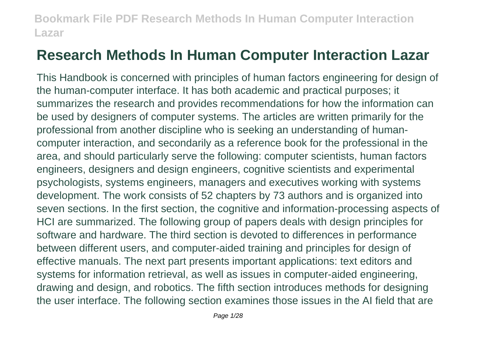# **Research Methods In Human Computer Interaction Lazar**

This Handbook is concerned with principles of human factors engineering for design of the human-computer interface. It has both academic and practical purposes; it summarizes the research and provides recommendations for how the information can be used by designers of computer systems. The articles are written primarily for the professional from another discipline who is seeking an understanding of humancomputer interaction, and secondarily as a reference book for the professional in the area, and should particularly serve the following: computer scientists, human factors engineers, designers and design engineers, cognitive scientists and experimental psychologists, systems engineers, managers and executives working with systems development. The work consists of 52 chapters by 73 authors and is organized into seven sections. In the first section, the cognitive and information-processing aspects of HCI are summarized. The following group of papers deals with design principles for software and hardware. The third section is devoted to differences in performance between different users, and computer-aided training and principles for design of effective manuals. The next part presents important applications: text editors and systems for information retrieval, as well as issues in computer-aided engineering, drawing and design, and robotics. The fifth section introduces methods for designing the user interface. The following section examines those issues in the AI field that are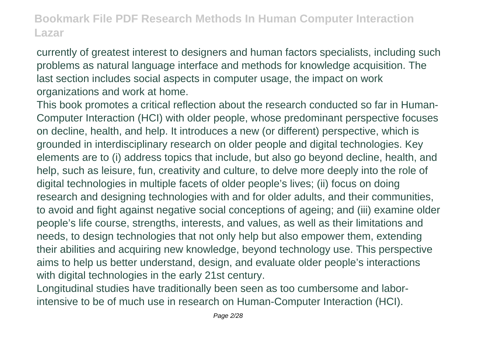currently of greatest interest to designers and human factors specialists, including such problems as natural language interface and methods for knowledge acquisition. The last section includes social aspects in computer usage, the impact on work organizations and work at home.

This book promotes a critical reflection about the research conducted so far in Human-Computer Interaction (HCI) with older people, whose predominant perspective focuses on decline, health, and help. It introduces a new (or different) perspective, which is grounded in interdisciplinary research on older people and digital technologies. Key elements are to (i) address topics that include, but also go beyond decline, health, and help, such as leisure, fun, creativity and culture, to delve more deeply into the role of digital technologies in multiple facets of older people's lives; (ii) focus on doing research and designing technologies with and for older adults, and their communities, to avoid and fight against negative social conceptions of ageing; and (iii) examine older people's life course, strengths, interests, and values, as well as their limitations and needs, to design technologies that not only help but also empower them, extending their abilities and acquiring new knowledge, beyond technology use. This perspective aims to help us better understand, design, and evaluate older people's interactions with digital technologies in the early 21st century.

Longitudinal studies have traditionally been seen as too cumbersome and laborintensive to be of much use in research on Human-Computer Interaction (HCI).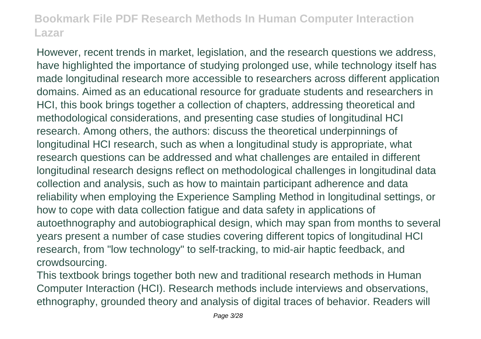However, recent trends in market, legislation, and the research questions we address, have highlighted the importance of studying prolonged use, while technology itself has made longitudinal research more accessible to researchers across different application domains. Aimed as an educational resource for graduate students and researchers in HCI, this book brings together a collection of chapters, addressing theoretical and methodological considerations, and presenting case studies of longitudinal HCI research. Among others, the authors: discuss the theoretical underpinnings of longitudinal HCI research, such as when a longitudinal study is appropriate, what research questions can be addressed and what challenges are entailed in different longitudinal research designs reflect on methodological challenges in longitudinal data collection and analysis, such as how to maintain participant adherence and data reliability when employing the Experience Sampling Method in longitudinal settings, or how to cope with data collection fatigue and data safety in applications of autoethnography and autobiographical design, which may span from months to several years present a number of case studies covering different topics of longitudinal HCI research, from "low technology" to self-tracking, to mid-air haptic feedback, and crowdsourcing.

This textbook brings together both new and traditional research methods in Human Computer Interaction (HCI). Research methods include interviews and observations, ethnography, grounded theory and analysis of digital traces of behavior. Readers will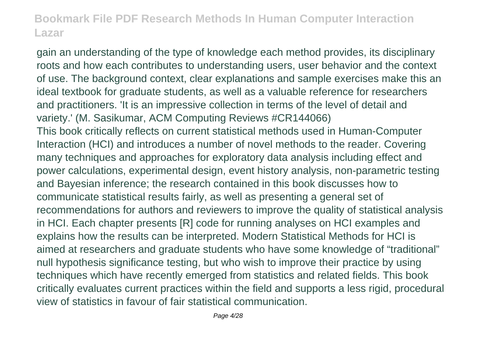gain an understanding of the type of knowledge each method provides, its disciplinary roots and how each contributes to understanding users, user behavior and the context of use. The background context, clear explanations and sample exercises make this an ideal textbook for graduate students, as well as a valuable reference for researchers and practitioners. 'It is an impressive collection in terms of the level of detail and variety.' (M. Sasikumar, ACM Computing Reviews #CR144066) This book critically reflects on current statistical methods used in Human-Computer Interaction (HCI) and introduces a number of novel methods to the reader. Covering many techniques and approaches for exploratory data analysis including effect and power calculations, experimental design, event history analysis, non-parametric testing and Bayesian inference; the research contained in this book discusses how to communicate statistical results fairly, as well as presenting a general set of recommendations for authors and reviewers to improve the quality of statistical analysis in HCI. Each chapter presents [R] code for running analyses on HCI examples and explains how the results can be interpreted. Modern Statistical Methods for HCI is aimed at researchers and graduate students who have some knowledge of "traditional" null hypothesis significance testing, but who wish to improve their practice by using techniques which have recently emerged from statistics and related fields. This book critically evaluates current practices within the field and supports a less rigid, procedural view of statistics in favour of fair statistical communication.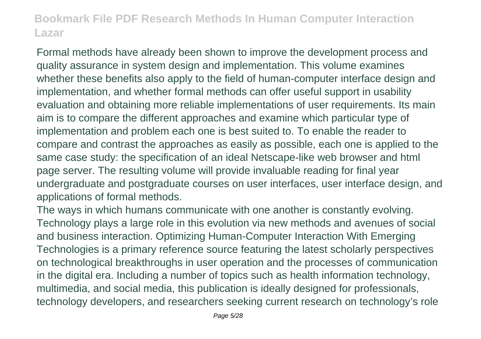Formal methods have already been shown to improve the development process and quality assurance in system design and implementation. This volume examines whether these benefits also apply to the field of human-computer interface design and implementation, and whether formal methods can offer useful support in usability evaluation and obtaining more reliable implementations of user requirements. Its main aim is to compare the different approaches and examine which particular type of implementation and problem each one is best suited to. To enable the reader to compare and contrast the approaches as easily as possible, each one is applied to the same case study: the specification of an ideal Netscape-like web browser and html page server. The resulting volume will provide invaluable reading for final year undergraduate and postgraduate courses on user interfaces, user interface design, and applications of formal methods.

The ways in which humans communicate with one another is constantly evolving. Technology plays a large role in this evolution via new methods and avenues of social and business interaction. Optimizing Human-Computer Interaction With Emerging Technologies is a primary reference source featuring the latest scholarly perspectives on technological breakthroughs in user operation and the processes of communication in the digital era. Including a number of topics such as health information technology, multimedia, and social media, this publication is ideally designed for professionals, technology developers, and researchers seeking current research on technology's role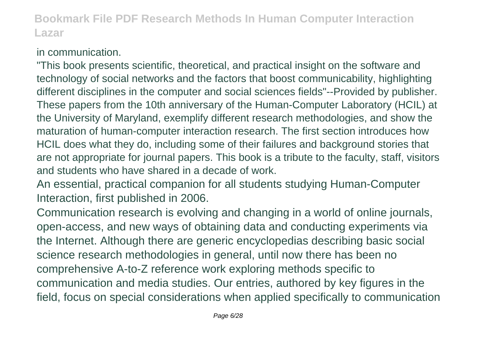#### in communication.

"This book presents scientific, theoretical, and practical insight on the software and technology of social networks and the factors that boost communicability, highlighting different disciplines in the computer and social sciences fields"--Provided by publisher. These papers from the 10th anniversary of the Human-Computer Laboratory (HCIL) at the University of Maryland, exemplify different research methodologies, and show the maturation of human-computer interaction research. The first section introduces how HCIL does what they do, including some of their failures and background stories that are not appropriate for journal papers. This book is a tribute to the faculty, staff, visitors and students who have shared in a decade of work.

An essential, practical companion for all students studying Human-Computer Interaction, first published in 2006.

Communication research is evolving and changing in a world of online journals, open-access, and new ways of obtaining data and conducting experiments via the Internet. Although there are generic encyclopedias describing basic social science research methodologies in general, until now there has been no comprehensive A-to-Z reference work exploring methods specific to communication and media studies. Our entries, authored by key figures in the field, focus on special considerations when applied specifically to communication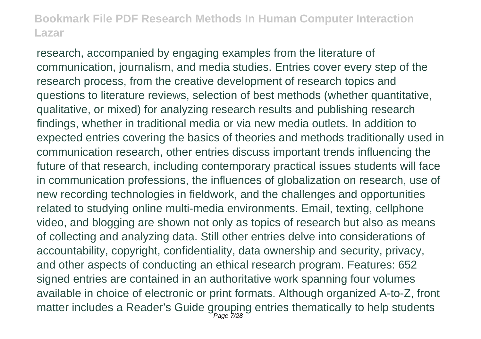research, accompanied by engaging examples from the literature of communication, journalism, and media studies. Entries cover every step of the research process, from the creative development of research topics and questions to literature reviews, selection of best methods (whether quantitative, qualitative, or mixed) for analyzing research results and publishing research findings, whether in traditional media or via new media outlets. In addition to expected entries covering the basics of theories and methods traditionally used in communication research, other entries discuss important trends influencing the future of that research, including contemporary practical issues students will face in communication professions, the influences of globalization on research, use of new recording technologies in fieldwork, and the challenges and opportunities related to studying online multi-media environments. Email, texting, cellphone video, and blogging are shown not only as topics of research but also as means of collecting and analyzing data. Still other entries delve into considerations of accountability, copyright, confidentiality, data ownership and security, privacy, and other aspects of conducting an ethical research program. Features: 652 signed entries are contained in an authoritative work spanning four volumes available in choice of electronic or print formats. Although organized A-to-Z, front matter includes a Reader's Guide grouping entries thematically to help students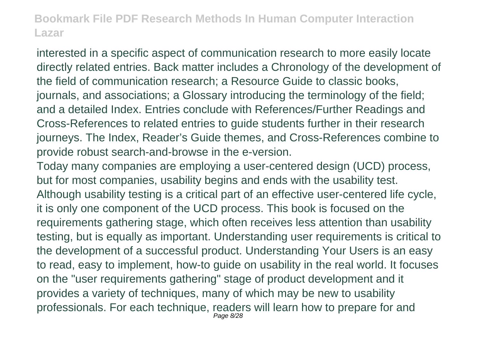interested in a specific aspect of communication research to more easily locate directly related entries. Back matter includes a Chronology of the development of the field of communication research; a Resource Guide to classic books, journals, and associations; a Glossary introducing the terminology of the field; and a detailed Index. Entries conclude with References/Further Readings and Cross-References to related entries to guide students further in their research journeys. The Index, Reader's Guide themes, and Cross-References combine to provide robust search-and-browse in the e-version.

Today many companies are employing a user-centered design (UCD) process, but for most companies, usability begins and ends with the usability test. Although usability testing is a critical part of an effective user-centered life cycle, it is only one component of the UCD process. This book is focused on the requirements gathering stage, which often receives less attention than usability testing, but is equally as important. Understanding user requirements is critical to the development of a successful product. Understanding Your Users is an easy to read, easy to implement, how-to guide on usability in the real world. It focuses on the "user requirements gathering" stage of product development and it provides a variety of techniques, many of which may be new to usability professionals. For each technique, readers will learn how to prepare for and Page 8/28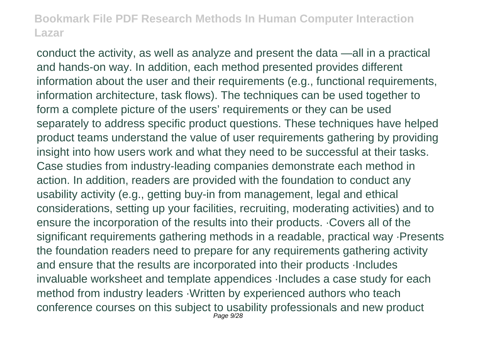conduct the activity, as well as analyze and present the data —all in a practical and hands-on way. In addition, each method presented provides different information about the user and their requirements (e.g., functional requirements, information architecture, task flows). The techniques can be used together to form a complete picture of the users' requirements or they can be used separately to address specific product questions. These techniques have helped product teams understand the value of user requirements gathering by providing insight into how users work and what they need to be successful at their tasks. Case studies from industry-leading companies demonstrate each method in action. In addition, readers are provided with the foundation to conduct any usability activity (e.g., getting buy-in from management, legal and ethical considerations, setting up your facilities, recruiting, moderating activities) and to ensure the incorporation of the results into their products. ·Covers all of the significant requirements gathering methods in a readable, practical way ·Presents the foundation readers need to prepare for any requirements gathering activity and ensure that the results are incorporated into their products ·Includes invaluable worksheet and template appendices ·Includes a case study for each method from industry leaders ·Written by experienced authors who teach conference courses on this subject to usability professionals and new product Page 9/28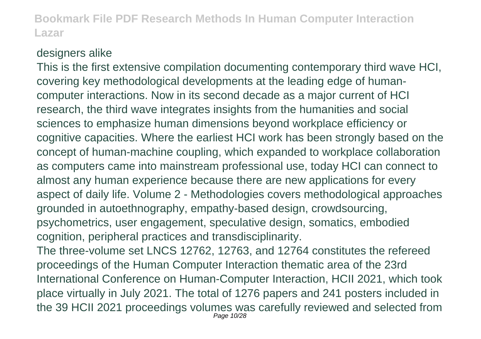#### designers alike

This is the first extensive compilation documenting contemporary third wave HCI, covering key methodological developments at the leading edge of humancomputer interactions. Now in its second decade as a major current of HCI research, the third wave integrates insights from the humanities and social sciences to emphasize human dimensions beyond workplace efficiency or cognitive capacities. Where the earliest HCI work has been strongly based on the concept of human-machine coupling, which expanded to workplace collaboration as computers came into mainstream professional use, today HCI can connect to almost any human experience because there are new applications for every aspect of daily life. Volume 2 - Methodologies covers methodological approaches grounded in autoethnography, empathy-based design, crowdsourcing, psychometrics, user engagement, speculative design, somatics, embodied cognition, peripheral practices and transdisciplinarity.

The three-volume set LNCS 12762, 12763, and 12764 constitutes the refereed proceedings of the Human Computer Interaction thematic area of the 23rd International Conference on Human-Computer Interaction, HCII 2021, which took place virtually in July 2021. The total of 1276 papers and 241 posters included in the 39 HCII 2021 proceedings volumes was carefully reviewed and selected from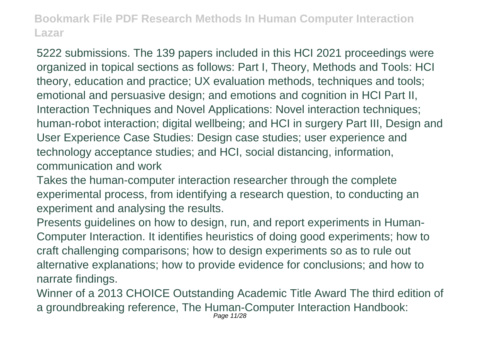5222 submissions. The 139 papers included in this HCI 2021 proceedings were organized in topical sections as follows: Part I, Theory, Methods and Tools: HCI theory, education and practice; UX evaluation methods, techniques and tools; emotional and persuasive design; and emotions and cognition in HCI Part II, Interaction Techniques and Novel Applications: Novel interaction techniques; human-robot interaction; digital wellbeing; and HCI in surgery Part III, Design and User Experience Case Studies: Design case studies; user experience and technology acceptance studies; and HCI, social distancing, information, communication and work

Takes the human-computer interaction researcher through the complete experimental process, from identifying a research question, to conducting an experiment and analysing the results.

Presents guidelines on how to design, run, and report experiments in Human-Computer Interaction. It identifies heuristics of doing good experiments; how to craft challenging comparisons; how to design experiments so as to rule out alternative explanations; how to provide evidence for conclusions; and how to narrate findings.

Winner of a 2013 CHOICE Outstanding Academic Title Award The third edition of a groundbreaking reference, The Human-Computer Interaction Handbook: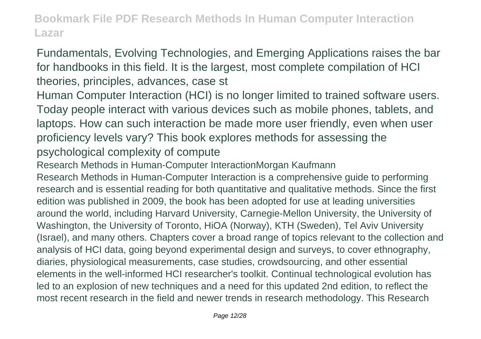Fundamentals, Evolving Technologies, and Emerging Applications raises the bar for handbooks in this field. It is the largest, most complete compilation of HCI theories, principles, advances, case st

Human Computer Interaction (HCI) is no longer limited to trained software users. Today people interact with various devices such as mobile phones, tablets, and laptops. How can such interaction be made more user friendly, even when user proficiency levels vary? This book explores methods for assessing the psychological complexity of compute

Research Methods in Human-Computer InteractionMorgan Kaufmann

Research Methods in Human-Computer Interaction is a comprehensive guide to performing research and is essential reading for both quantitative and qualitative methods. Since the first edition was published in 2009, the book has been adopted for use at leading universities around the world, including Harvard University, Carnegie-Mellon University, the University of Washington, the University of Toronto, HiOA (Norway), KTH (Sweden), Tel Aviv University (Israel), and many others. Chapters cover a broad range of topics relevant to the collection and analysis of HCI data, going beyond experimental design and surveys, to cover ethnography, diaries, physiological measurements, case studies, crowdsourcing, and other essential elements in the well-informed HCI researcher's toolkit. Continual technological evolution has led to an explosion of new techniques and a need for this updated 2nd edition, to reflect the most recent research in the field and newer trends in research methodology. This Research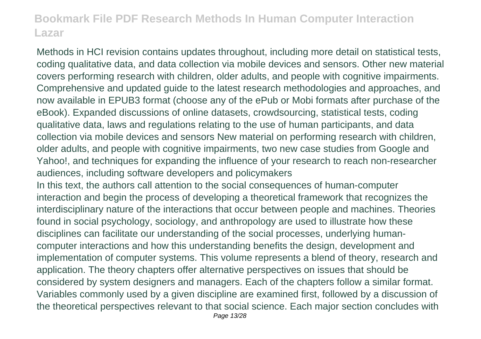Methods in HCI revision contains updates throughout, including more detail on statistical tests, coding qualitative data, and data collection via mobile devices and sensors. Other new material covers performing research with children, older adults, and people with cognitive impairments. Comprehensive and updated guide to the latest research methodologies and approaches, and now available in EPUB3 format (choose any of the ePub or Mobi formats after purchase of the eBook). Expanded discussions of online datasets, crowdsourcing, statistical tests, coding qualitative data, laws and regulations relating to the use of human participants, and data collection via mobile devices and sensors New material on performing research with children, older adults, and people with cognitive impairments, two new case studies from Google and Yahoo!, and techniques for expanding the influence of your research to reach non-researcher audiences, including software developers and policymakers In this text, the authors call attention to the social consequences of human-computer interaction and begin the process of developing a theoretical framework that recognizes the

interdisciplinary nature of the interactions that occur between people and machines. Theories found in social psychology, sociology, and anthropology are used to illustrate how these disciplines can facilitate our understanding of the social processes, underlying humancomputer interactions and how this understanding benefits the design, development and implementation of computer systems. This volume represents a blend of theory, research and application. The theory chapters offer alternative perspectives on issues that should be considered by system designers and managers. Each of the chapters follow a similar format. Variables commonly used by a given discipline are examined first, followed by a discussion of the theoretical perspectives relevant to that social science. Each major section concludes with Page 13/28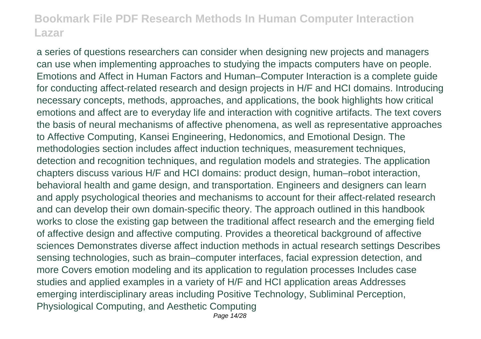a series of questions researchers can consider when designing new projects and managers can use when implementing approaches to studying the impacts computers have on people. Emotions and Affect in Human Factors and Human–Computer Interaction is a complete guide for conducting affect-related research and design projects in H/F and HCI domains. Introducing necessary concepts, methods, approaches, and applications, the book highlights how critical emotions and affect are to everyday life and interaction with cognitive artifacts. The text covers the basis of neural mechanisms of affective phenomena, as well as representative approaches to Affective Computing, Kansei Engineering, Hedonomics, and Emotional Design. The methodologies section includes affect induction techniques, measurement techniques, detection and recognition techniques, and regulation models and strategies. The application chapters discuss various H/F and HCI domains: product design, human–robot interaction, behavioral health and game design, and transportation. Engineers and designers can learn and apply psychological theories and mechanisms to account for their affect-related research and can develop their own domain-specific theory. The approach outlined in this handbook works to close the existing gap between the traditional affect research and the emerging field of affective design and affective computing. Provides a theoretical background of affective sciences Demonstrates diverse affect induction methods in actual research settings Describes sensing technologies, such as brain–computer interfaces, facial expression detection, and more Covers emotion modeling and its application to regulation processes Includes case studies and applied examples in a variety of H/F and HCI application areas Addresses emerging interdisciplinary areas including Positive Technology, Subliminal Perception, Physiological Computing, and Aesthetic Computing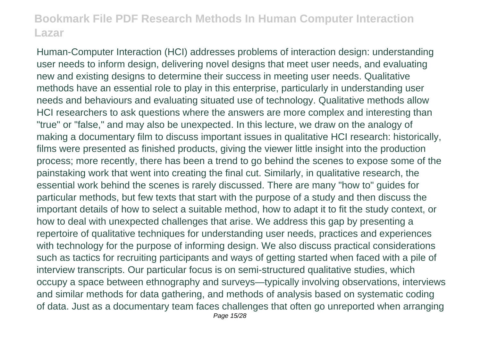Human-Computer Interaction (HCI) addresses problems of interaction design: understanding user needs to inform design, delivering novel designs that meet user needs, and evaluating new and existing designs to determine their success in meeting user needs. Qualitative methods have an essential role to play in this enterprise, particularly in understanding user needs and behaviours and evaluating situated use of technology. Qualitative methods allow HCI researchers to ask questions where the answers are more complex and interesting than "true" or "false," and may also be unexpected. In this lecture, we draw on the analogy of making a documentary film to discuss important issues in qualitative HCI research: historically, films were presented as finished products, giving the viewer little insight into the production process; more recently, there has been a trend to go behind the scenes to expose some of the painstaking work that went into creating the final cut. Similarly, in qualitative research, the essential work behind the scenes is rarely discussed. There are many "how to" guides for particular methods, but few texts that start with the purpose of a study and then discuss the important details of how to select a suitable method, how to adapt it to fit the study context, or how to deal with unexpected challenges that arise. We address this gap by presenting a repertoire of qualitative techniques for understanding user needs, practices and experiences with technology for the purpose of informing design. We also discuss practical considerations such as tactics for recruiting participants and ways of getting started when faced with a pile of interview transcripts. Our particular focus is on semi-structured qualitative studies, which occupy a space between ethnography and surveys—typically involving observations, interviews and similar methods for data gathering, and methods of analysis based on systematic coding of data. Just as a documentary team faces challenges that often go unreported when arranging Page 15/28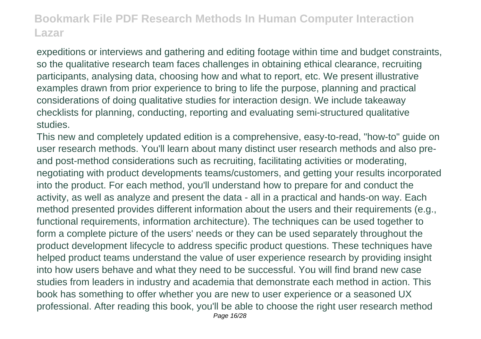expeditions or interviews and gathering and editing footage within time and budget constraints, so the qualitative research team faces challenges in obtaining ethical clearance, recruiting participants, analysing data, choosing how and what to report, etc. We present illustrative examples drawn from prior experience to bring to life the purpose, planning and practical considerations of doing qualitative studies for interaction design. We include takeaway checklists for planning, conducting, reporting and evaluating semi-structured qualitative studies.

This new and completely updated edition is a comprehensive, easy-to-read, "how-to" guide on user research methods. You'll learn about many distinct user research methods and also preand post-method considerations such as recruiting, facilitating activities or moderating, negotiating with product developments teams/customers, and getting your results incorporated into the product. For each method, you'll understand how to prepare for and conduct the activity, as well as analyze and present the data - all in a practical and hands-on way. Each method presented provides different information about the users and their requirements (e.g., functional requirements, information architecture). The techniques can be used together to form a complete picture of the users' needs or they can be used separately throughout the product development lifecycle to address specific product questions. These techniques have helped product teams understand the value of user experience research by providing insight into how users behave and what they need to be successful. You will find brand new case studies from leaders in industry and academia that demonstrate each method in action. This book has something to offer whether you are new to user experience or a seasoned UX professional. After reading this book, you'll be able to choose the right user research method Page 16/28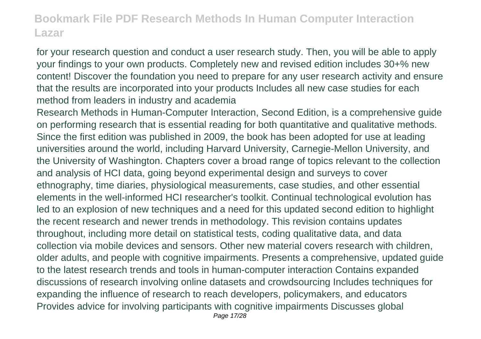for your research question and conduct a user research study. Then, you will be able to apply your findings to your own products. Completely new and revised edition includes 30+% new content! Discover the foundation you need to prepare for any user research activity and ensure that the results are incorporated into your products Includes all new case studies for each method from leaders in industry and academia

Research Methods in Human-Computer Interaction, Second Edition, is a comprehensive guide on performing research that is essential reading for both quantitative and qualitative methods. Since the first edition was published in 2009, the book has been adopted for use at leading universities around the world, including Harvard University, Carnegie-Mellon University, and the University of Washington. Chapters cover a broad range of topics relevant to the collection and analysis of HCI data, going beyond experimental design and surveys to cover ethnography, time diaries, physiological measurements, case studies, and other essential elements in the well-informed HCI researcher's toolkit. Continual technological evolution has led to an explosion of new techniques and a need for this updated second edition to highlight the recent research and newer trends in methodology. This revision contains updates throughout, including more detail on statistical tests, coding qualitative data, and data collection via mobile devices and sensors. Other new material covers research with children, older adults, and people with cognitive impairments. Presents a comprehensive, updated guide to the latest research trends and tools in human-computer interaction Contains expanded discussions of research involving online datasets and crowdsourcing Includes techniques for expanding the influence of research to reach developers, policymakers, and educators Provides advice for involving participants with cognitive impairments Discusses global Page 17/28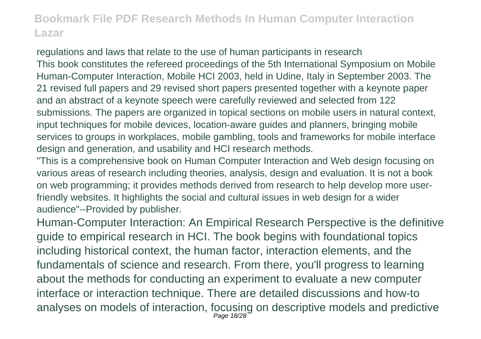regulations and laws that relate to the use of human participants in research This book constitutes the refereed proceedings of the 5th International Symposium on Mobile Human-Computer Interaction, Mobile HCI 2003, held in Udine, Italy in September 2003. The 21 revised full papers and 29 revised short papers presented together with a keynote paper and an abstract of a keynote speech were carefully reviewed and selected from 122 submissions. The papers are organized in topical sections on mobile users in natural context, input techniques for mobile devices, location-aware guides and planners, bringing mobile services to groups in workplaces, mobile gambling, tools and frameworks for mobile interface design and generation, and usability and HCI research methods.

"This is a comprehensive book on Human Computer Interaction and Web design focusing on various areas of research including theories, analysis, design and evaluation. It is not a book on web programming; it provides methods derived from research to help develop more userfriendly websites. It highlights the social and cultural issues in web design for a wider audience"--Provided by publisher.

Human-Computer Interaction: An Empirical Research Perspective is the definitive guide to empirical research in HCI. The book begins with foundational topics including historical context, the human factor, interaction elements, and the fundamentals of science and research. From there, you'll progress to learning about the methods for conducting an experiment to evaluate a new computer interface or interaction technique. There are detailed discussions and how-to analyses on models of interaction, focusing on descriptive models and predictive Page 18/28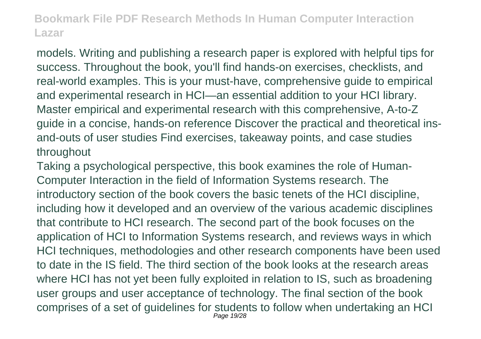models. Writing and publishing a research paper is explored with helpful tips for success. Throughout the book, you'll find hands-on exercises, checklists, and real-world examples. This is your must-have, comprehensive guide to empirical and experimental research in HCI—an essential addition to your HCI library. Master empirical and experimental research with this comprehensive, A-to-Z guide in a concise, hands-on reference Discover the practical and theoretical insand-outs of user studies Find exercises, takeaway points, and case studies throughout

Taking a psychological perspective, this book examines the role of Human-Computer Interaction in the field of Information Systems research. The introductory section of the book covers the basic tenets of the HCI discipline, including how it developed and an overview of the various academic disciplines that contribute to HCI research. The second part of the book focuses on the application of HCI to Information Systems research, and reviews ways in which HCI techniques, methodologies and other research components have been used to date in the IS field. The third section of the book looks at the research areas where HCI has not yet been fully exploited in relation to IS, such as broadening user groups and user acceptance of technology. The final section of the book comprises of a set of guidelines for students to follow when undertaking an HCI Page 19/28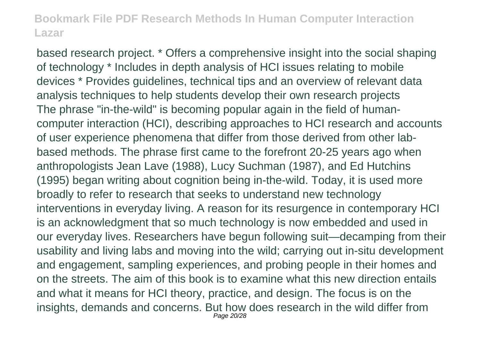based research project. \* Offers a comprehensive insight into the social shaping of technology \* Includes in depth analysis of HCI issues relating to mobile devices \* Provides guidelines, technical tips and an overview of relevant data analysis techniques to help students develop their own research projects The phrase "in-the-wild" is becoming popular again in the field of humancomputer interaction (HCI), describing approaches to HCI research and accounts of user experience phenomena that differ from those derived from other labbased methods. The phrase first came to the forefront 20-25 years ago when anthropologists Jean Lave (1988), Lucy Suchman (1987), and Ed Hutchins (1995) began writing about cognition being in-the-wild. Today, it is used more broadly to refer to research that seeks to understand new technology interventions in everyday living. A reason for its resurgence in contemporary HCI is an acknowledgment that so much technology is now embedded and used in our everyday lives. Researchers have begun following suit—decamping from their usability and living labs and moving into the wild; carrying out in-situ development and engagement, sampling experiences, and probing people in their homes and on the streets. The aim of this book is to examine what this new direction entails and what it means for HCI theory, practice, and design. The focus is on the insights, demands and concerns. But how does research in the wild differ from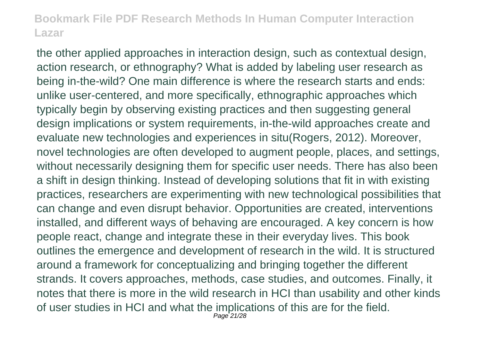the other applied approaches in interaction design, such as contextual design, action research, or ethnography? What is added by labeling user research as being in-the-wild? One main difference is where the research starts and ends: unlike user-centered, and more specifically, ethnographic approaches which typically begin by observing existing practices and then suggesting general design implications or system requirements, in-the-wild approaches create and evaluate new technologies and experiences in situ(Rogers, 2012). Moreover, novel technologies are often developed to augment people, places, and settings, without necessarily designing them for specific user needs. There has also been a shift in design thinking. Instead of developing solutions that fit in with existing practices, researchers are experimenting with new technological possibilities that can change and even disrupt behavior. Opportunities are created, interventions installed, and different ways of behaving are encouraged. A key concern is how people react, change and integrate these in their everyday lives. This book outlines the emergence and development of research in the wild. It is structured around a framework for conceptualizing and bringing together the different strands. It covers approaches, methods, case studies, and outcomes. Finally, it notes that there is more in the wild research in HCI than usability and other kinds of user studies in HCI and what the implications of this are for the field. Page 21/28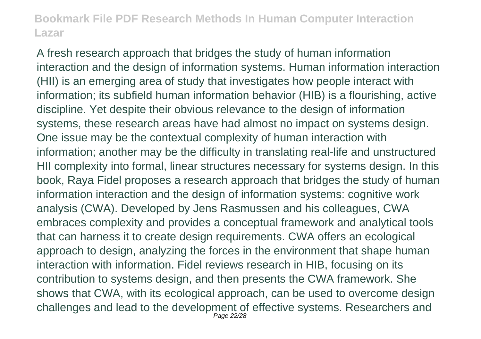A fresh research approach that bridges the study of human information interaction and the design of information systems. Human information interaction (HII) is an emerging area of study that investigates how people interact with information; its subfield human information behavior (HIB) is a flourishing, active discipline. Yet despite their obvious relevance to the design of information systems, these research areas have had almost no impact on systems design. One issue may be the contextual complexity of human interaction with information; another may be the difficulty in translating real-life and unstructured HII complexity into formal, linear structures necessary for systems design. In this book, Raya Fidel proposes a research approach that bridges the study of human information interaction and the design of information systems: cognitive work analysis (CWA). Developed by Jens Rasmussen and his colleagues, CWA embraces complexity and provides a conceptual framework and analytical tools that can harness it to create design requirements. CWA offers an ecological approach to design, analyzing the forces in the environment that shape human interaction with information. Fidel reviews research in HIB, focusing on its contribution to systems design, and then presents the CWA framework. She shows that CWA, with its ecological approach, can be used to overcome design challenges and lead to the development of effective systems. Researchers and Page 22/28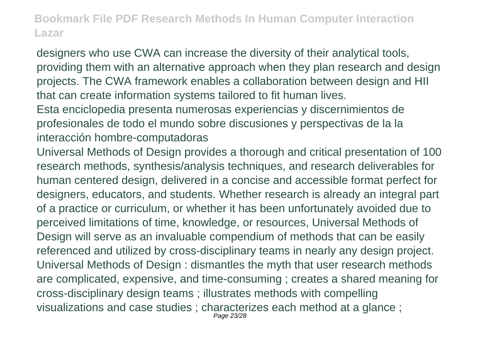designers who use CWA can increase the diversity of their analytical tools, providing them with an alternative approach when they plan research and design projects. The CWA framework enables a collaboration between design and HII that can create information systems tailored to fit human lives.

Esta enciclopedia presenta numerosas experiencias y discernimientos de profesionales de todo el mundo sobre discusiones y perspectivas de la la interacción hombre-computadoras

Universal Methods of Design provides a thorough and critical presentation of 100 research methods, synthesis/analysis techniques, and research deliverables for human centered design, delivered in a concise and accessible format perfect for designers, educators, and students. Whether research is already an integral part of a practice or curriculum, or whether it has been unfortunately avoided due to perceived limitations of time, knowledge, or resources, Universal Methods of Design will serve as an invaluable compendium of methods that can be easily referenced and utilized by cross-disciplinary teams in nearly any design project. Universal Methods of Design : dismantles the myth that user research methods are complicated, expensive, and time-consuming ; creates a shared meaning for cross-disciplinary design teams ; illustrates methods with compelling visualizations and case studies ; characterizes each method at a glance ; Page 23/28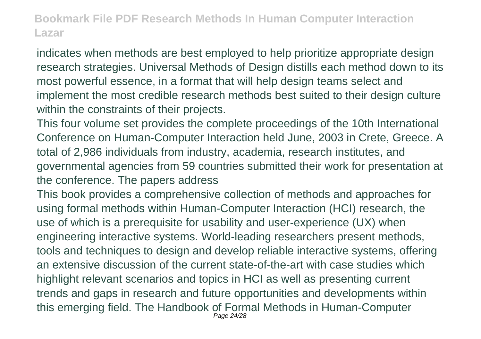indicates when methods are best employed to help prioritize appropriate design research strategies. Universal Methods of Design distills each method down to its most powerful essence, in a format that will help design teams select and implement the most credible research methods best suited to their design culture within the constraints of their projects.

This four volume set provides the complete proceedings of the 10th International Conference on Human-Computer Interaction held June, 2003 in Crete, Greece. A total of 2,986 individuals from industry, academia, research institutes, and governmental agencies from 59 countries submitted their work for presentation at the conference. The papers address

This book provides a comprehensive collection of methods and approaches for using formal methods within Human-Computer Interaction (HCI) research, the use of which is a prerequisite for usability and user-experience (UX) when engineering interactive systems. World-leading researchers present methods, tools and techniques to design and develop reliable interactive systems, offering an extensive discussion of the current state-of-the-art with case studies which highlight relevant scenarios and topics in HCI as well as presenting current trends and gaps in research and future opportunities and developments within this emerging field. The Handbook of Formal Methods in Human-Computer Page 24/28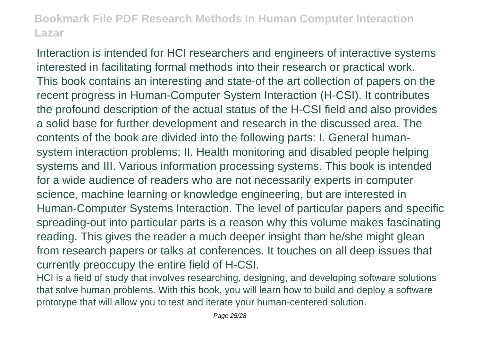Interaction is intended for HCI researchers and engineers of interactive systems interested in facilitating formal methods into their research or practical work. This book contains an interesting and state-of the art collection of papers on the recent progress in Human-Computer System Interaction (H-CSI). It contributes the profound description of the actual status of the H-CSI field and also provides a solid base for further development and research in the discussed area. The contents of the book are divided into the following parts: I. General humansystem interaction problems; II. Health monitoring and disabled people helping systems and III. Various information processing systems. This book is intended for a wide audience of readers who are not necessarily experts in computer science, machine learning or knowledge engineering, but are interested in Human-Computer Systems Interaction. The level of particular papers and specific spreading-out into particular parts is a reason why this volume makes fascinating reading. This gives the reader a much deeper insight than he/she might glean from research papers or talks at conferences. It touches on all deep issues that currently preoccupy the entire field of H-CSI.

HCI is a field of study that involves researching, designing, and developing software solutions that solve human problems. With this book, you will learn how to build and deploy a software prototype that will allow you to test and iterate your human-centered solution.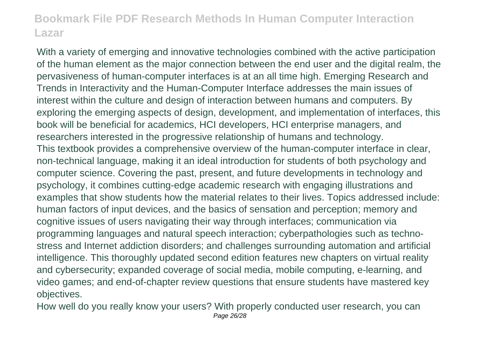With a variety of emerging and innovative technologies combined with the active participation of the human element as the major connection between the end user and the digital realm, the pervasiveness of human-computer interfaces is at an all time high. Emerging Research and Trends in Interactivity and the Human-Computer Interface addresses the main issues of interest within the culture and design of interaction between humans and computers. By exploring the emerging aspects of design, development, and implementation of interfaces, this book will be beneficial for academics, HCI developers, HCI enterprise managers, and researchers interested in the progressive relationship of humans and technology. This textbook provides a comprehensive overview of the human-computer interface in clear, non-technical language, making it an ideal introduction for students of both psychology and computer science. Covering the past, present, and future developments in technology and psychology, it combines cutting-edge academic research with engaging illustrations and examples that show students how the material relates to their lives. Topics addressed include: human factors of input devices, and the basics of sensation and perception; memory and cognitive issues of users navigating their way through interfaces; communication via programming languages and natural speech interaction; cyberpathologies such as technostress and Internet addiction disorders; and challenges surrounding automation and artificial intelligence. This thoroughly updated second edition features new chapters on virtual reality and cybersecurity; expanded coverage of social media, mobile computing, e-learning, and video games; and end-of-chapter review questions that ensure students have mastered key objectives.

How well do you really know your users? With properly conducted user research, you can Page 26/28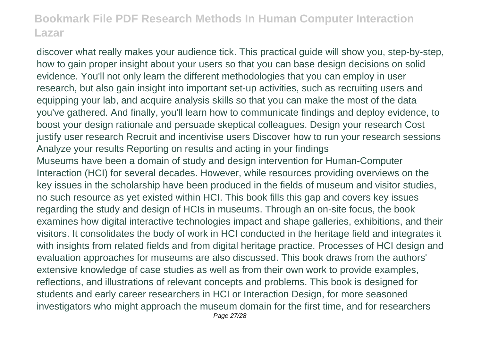discover what really makes your audience tick. This practical guide will show you, step-by-step, how to gain proper insight about your users so that you can base design decisions on solid evidence. You'll not only learn the different methodologies that you can employ in user research, but also gain insight into important set-up activities, such as recruiting users and equipping your lab, and acquire analysis skills so that you can make the most of the data you've gathered. And finally, you'll learn how to communicate findings and deploy evidence, to boost your design rationale and persuade skeptical colleagues. Design your research Cost justify user research Recruit and incentivise users Discover how to run your research sessions Analyze your results Reporting on results and acting in your findings Museums have been a domain of study and design intervention for Human-Computer Interaction (HCI) for several decades. However, while resources providing overviews on the key issues in the scholarship have been produced in the fields of museum and visitor studies, no such resource as yet existed within HCI. This book fills this gap and covers key issues regarding the study and design of HCIs in museums. Through an on-site focus, the book examines how digital interactive technologies impact and shape galleries, exhibitions, and their visitors. It consolidates the body of work in HCI conducted in the heritage field and integrates it with insights from related fields and from digital heritage practice. Processes of HCI design and evaluation approaches for museums are also discussed. This book draws from the authors' extensive knowledge of case studies as well as from their own work to provide examples, reflections, and illustrations of relevant concepts and problems. This book is designed for students and early career researchers in HCI or Interaction Design, for more seasoned investigators who might approach the museum domain for the first time, and for researchers Page 27/28